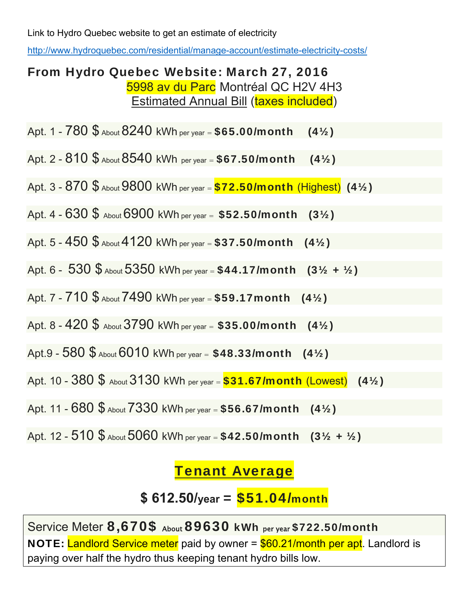Link to Hydro Quebec website to get an estimate of electricity

http://www.hydroquebec.com/residential/manage-account/estimate-electricity-costs/

## From Hydro Quebec Website: March 27, 2016 5998 av du Parc Montréal QC H2V 4H3 **Estimated Annual Bill (taxes included)**

Apt. 1 -  $780\,$  \$  $\mu$ bout  $8240\,$  kWh per year = \$65.00/month (4½)

Apt. 2 -  $810\$   $\frac{6}{2}$  About  $8540$  kWh per year =  $$67.50/m$ onth (41/2)

Apt.  $3 - 870$   $\frac{6}{3}$  About  $9800$  kWh per year =  $\frac{$72.50}{\text{month}}$  (Highest) (41/2)

Apt. 4 - 630 \$ About 6900 kWh per year = \$52.50/month (3½)

Apt. 5 -  $450$  \$  $_{\text{About}}$  4120 kWh per year = \$37.50/month (4½)

Apt. 6 -  $530$  \$  $_{\text{About}}$  5350 kWh per year = \$44.17/month (31/2 + 1/2)

Apt. 7 -  $710$  \$  $_{\text{About}}$   $7490$  kWh per year = \$59.17 month (41/2)

Apt. 8 -  $420\,$ \$ About 3790 kWh per year = \$35.00/month (4½)

Apt.9 -  $580$  \$ About  $6010$  kWh per year =  $$48.33/m$ onth  $(4\frac{1}{2})$ 

Apt. 10 -  $380\,$ \$ About  $3130\,$  kWh per year =  $$31.67/m$ onth (Lowest) (4½)

Apt. 11 - 680 \$ About 7330 kWh per year = \$56.67/month (4½)

Apt. 12 - 510 \$ About 5060 kWh per year = \$42.50/month (3½ + ½)

## Tenant Average

**\$ 612.50/year** = \$51.04/month

Service Meter 8,670\$ About 89630 kWh per year \$722.50/month NOTE: Landlord Service meter paid by owner = \$60.21/month per apt. Landlord is paying over half the hydro thus keeping tenant hydro bills low.